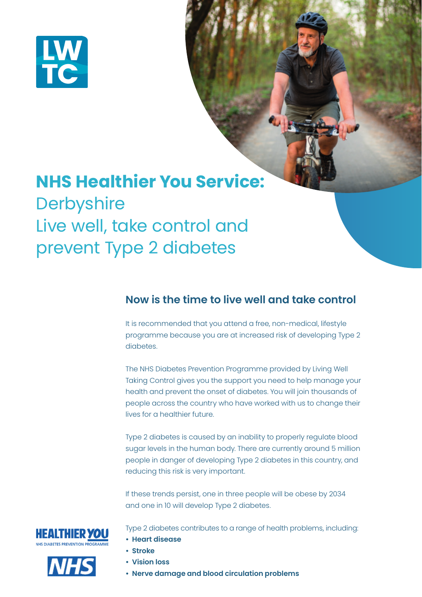

# **NHS Healthier You Service: Derbyshire** Live well, take control and prevent Type 2 diabetes

## **Now is the time to live well and take control**

It is recommended that you attend a free, non-medical, lifestyle programme because you are at increased risk of developing Type 2 diabetes.

The NHS Diabetes Prevention Programme provided by Living Well Taking Control gives you the support you need to help manage your health and prevent the onset of diabetes. You will join thousands of people across the country who have worked with us to change their lives for a healthier future.

Type 2 diabetes is caused by an inability to properly regulate blood sugar levels in the human body. There are currently around 5 million people in danger of developing Type 2 diabetes in this country, and reducing this risk is very important.

If these trends persist, one in three people will be obese by 2034 and one in 10 will develop Type 2 diabetes.





Type 2 diabetes contributes to a range of health problems, including:

- **Heart disease**
- **Stroke**
- **Vision loss**
- **Nerve damage and blood circulation problems**